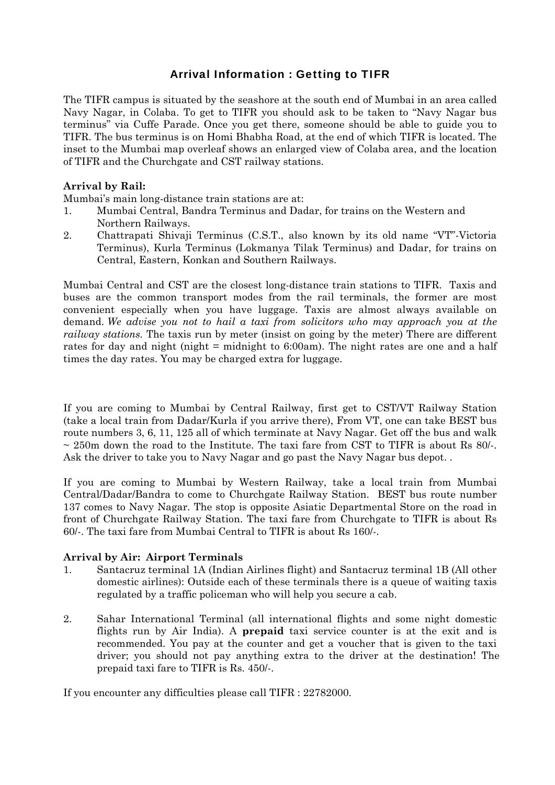## Arrival Information : Getting to TIFR

The TIFR campus is situated by the seashore at the south end of Mumbai in an area called Navy Nagar, in Colaba. To get to TIFR you should ask to be taken to "Navy Nagar bus terminus" via Cuffe Parade. Once you get there, someone should be able to guide you to TIFR. The bus terminus is on Homi Bhabha Road, at the end of which TIFR is located. The inset to the Mumbai map overleaf shows an enlarged view of Colaba area, and the location of TIFR and the Churchgate and CST railway stations.

## **Arrival by Rail:**

Mumbai's main long-distance train stations are at:

- 1. Mumbai Central, Bandra Terminus and Dadar, for trains on the Western and Northern Railways.
- 2. Chattrapati Shivaji Terminus (C.S.T., also known by its old name "VT"-Victoria Terminus), Kurla Terminus (Lokmanya Tilak Terminus) and Dadar, for trains on Central, Eastern, Konkan and Southern Railways.

Mumbai Central and CST are the closest long-distance train stations to TIFR. Taxis and buses are the common transport modes from the rail terminals, the former are most convenient especially when you have luggage. Taxis are almost always available on demand. *We advise you not to hail a taxi from solicitors who may approach you at the railway stations.* The taxis run by meter (insist on going by the meter) There are different rates for day and night (night = midnight to 6:00am). The night rates are one and a half times the day rates. You may be charged extra for luggage.

If you are coming to Mumbai by Central Railway, first get to CST/VT Railway Station (take a local train from Dadar/Kurla if you arrive there), From VT, one can take BEST bus route numbers 3, 6, 11, 125 all of which terminate at Navy Nagar. Get off the bus and walk  $\sim$  250m down the road to the Institute. The taxi fare from CST to TIFR is about Rs 80/-. Ask the driver to take you to Navy Nagar and go past the Navy Nagar bus depot. .

If you are coming to Mumbai by Western Railway, take a local train from Mumbai Central/Dadar/Bandra to come to Churchgate Railway Station. BEST bus route number 137 comes to Navy Nagar. The stop is opposite Asiatic Departmental Store on the road in front of Churchgate Railway Station. The taxi fare from Churchgate to TIFR is about Rs 60/-. The taxi fare from Mumbai Central to TIFR is about Rs 160/-.

## **Arrival by Air: Airport Terminals**

- 1. Santacruz terminal 1A (Indian Airlines flight) and Santacruz terminal 1B (All other domestic airlines): Outside each of these terminals there is a queue of waiting taxis regulated by a traffic policeman who will help you secure a cab.
- 2. Sahar International Terminal (all international flights and some night domestic flights run by Air India). A **prepaid** taxi service counter is at the exit and is recommended. You pay at the counter and get a voucher that is given to the taxi driver; you should not pay anything extra to the driver at the destination! The prepaid taxi fare to TIFR is Rs. 450/-.

If you encounter any difficulties please call TIFR : 22782000.